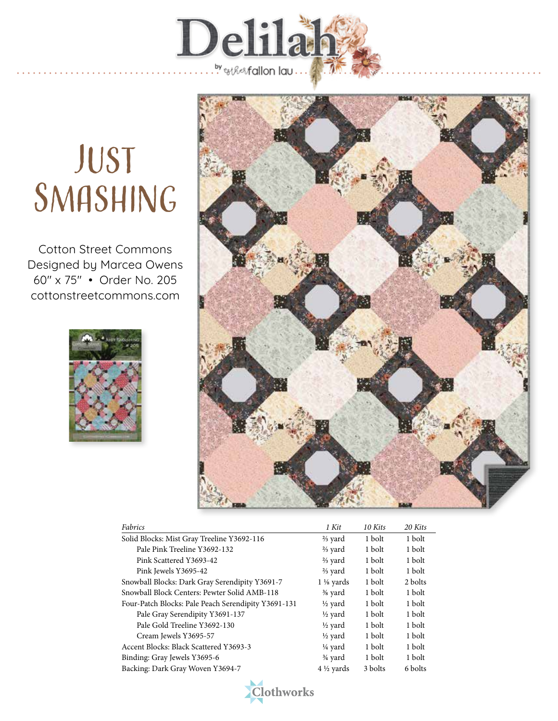

## **JUST** SMASHING

Cotton Street Commons Designed by Marcea Owens 60" x 75" • Order No. 205 cottonstreetcommons.com





| Fabrics                                             | 1 Kit                | 10 Kits | 20 Kits |
|-----------------------------------------------------|----------------------|---------|---------|
| Solid Blocks: Mist Gray Treeline Y3692-116          | $\frac{2}{3}$ yard   | 1 bolt  | 1 bolt  |
| Pale Pink Treeline Y3692-132                        | $\frac{2}{3}$ yard   | 1 bolt  | 1 bolt  |
| Pink Scattered Y3693-42                             | $\frac{2}{3}$ yard   | 1 bolt  | 1 bolt  |
| Pink Jewels Y3695-42                                | $\frac{2}{3}$ yard   | 1 bolt  | 1 bolt  |
| Snowball Blocks: Dark Gray Serendipity Y3691-7      | $1\frac{1}{8}$ yards | 1 bolt  | 2 bolts |
| Snowball Block Centers: Pewter Solid AMB-118        | $\frac{3}{8}$ yard   | 1 bolt  | 1 bolt  |
| Four-Patch Blocks: Pale Peach Serendipity Y3691-131 | $\frac{1}{2}$ yard   | 1 bolt  | 1 bolt  |
| Pale Gray Serendipity Y3691-137                     | $\frac{1}{2}$ yard   | 1 bolt  | 1 bolt  |
| Pale Gold Treeline Y3692-130                        | $\frac{1}{2}$ yard   | 1 bolt  | 1 bolt  |
| Cream Jewels Y3695-57                               | $\frac{1}{2}$ yard   | 1 bolt  | 1 bolt  |
| Accent Blocks: Black Scattered Y3693-3              | ¼ yard               | 1 bolt  | 1 bolt  |
| Binding: Gray Jewels Y3695-6                        | $\frac{3}{4}$ yard   | 1 bolt  | 1 bolt  |
| Backing: Dark Gray Woven Y3694-7                    | $4\frac{1}{2}$ vards | 3 bolts | 6 bolts |